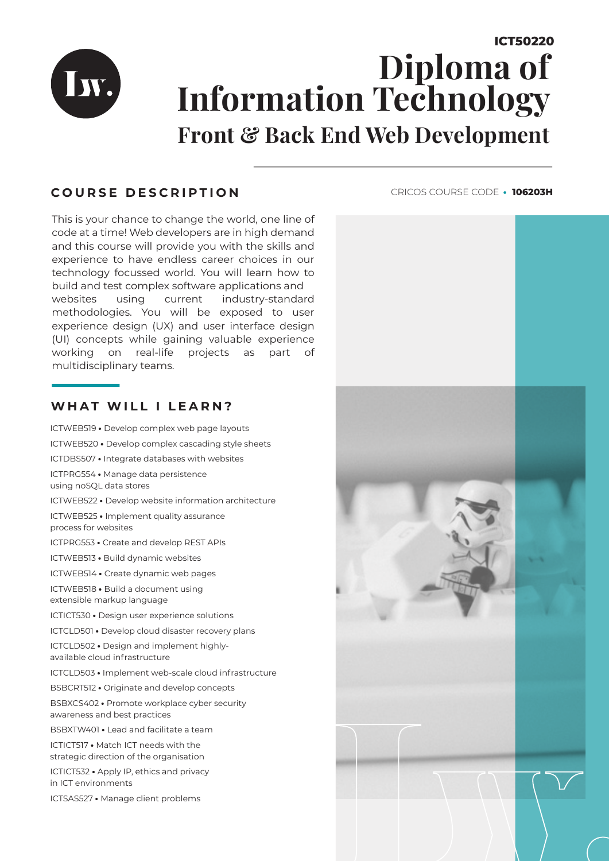

# **ICT50220 Diploma of Information Technology Front & Back End Web Development**

## **COURSE DESCRIPTION**

This is your chance to change the world, one line of code at a time! Web developers are in high demand and this course will provide you with the skills and experience to have endless career choices in our technology focussed world. You will learn how to build and test complex software applications and websites using current industry-standard methodologies. You will be exposed to user experience design (UX) and user interface design (UI) concepts while gaining valuable experience working on real-life projects as part of multidisciplinary teams.

### **WHAT WILL I LEARN?**

ICTWEB519 **•** Develop complex web page layouts ICTWEB520 **•** Develop complex cascading style sheets ICTDBS507 **•** Integrate databases with websites ICTPRG554 **•** Manage data persistence using noSQL data stores ICTWEB522 **•** Develop website information architecture ICTWEB525 **•** Implement quality assurance process for websites ICTPRG553 **•** Create and develop REST APIs ICTWEB513 **•** Build dynamic websites ICTWEB514 **•** Create dynamic web pages ICTWEB518 **•** Build a document using extensible markup language ICTICT530 **•** Design user experience solutions ICTCLD501 **•** Develop cloud disaster recovery plans ICTCLD502 **•** Design and implement highlyavailable cloud infrastructure ICTCLD503 **•** Implement web-scale cloud infrastructure BSBCRT512 **•** Originate and develop concepts BSBXCS402 **•** Promote workplace cyber security awareness and best practices BSBXTW401 **•** Lead and facilitate a team ICTICT517 **•** Match ICT needs with the strategic direction of the organisation ICTICT532 **•** Apply IP, ethics and privacy

ICTSAS527 **•** Manage client problems

in ICT environments

CRICOS COURSE CODE **• 106203H**